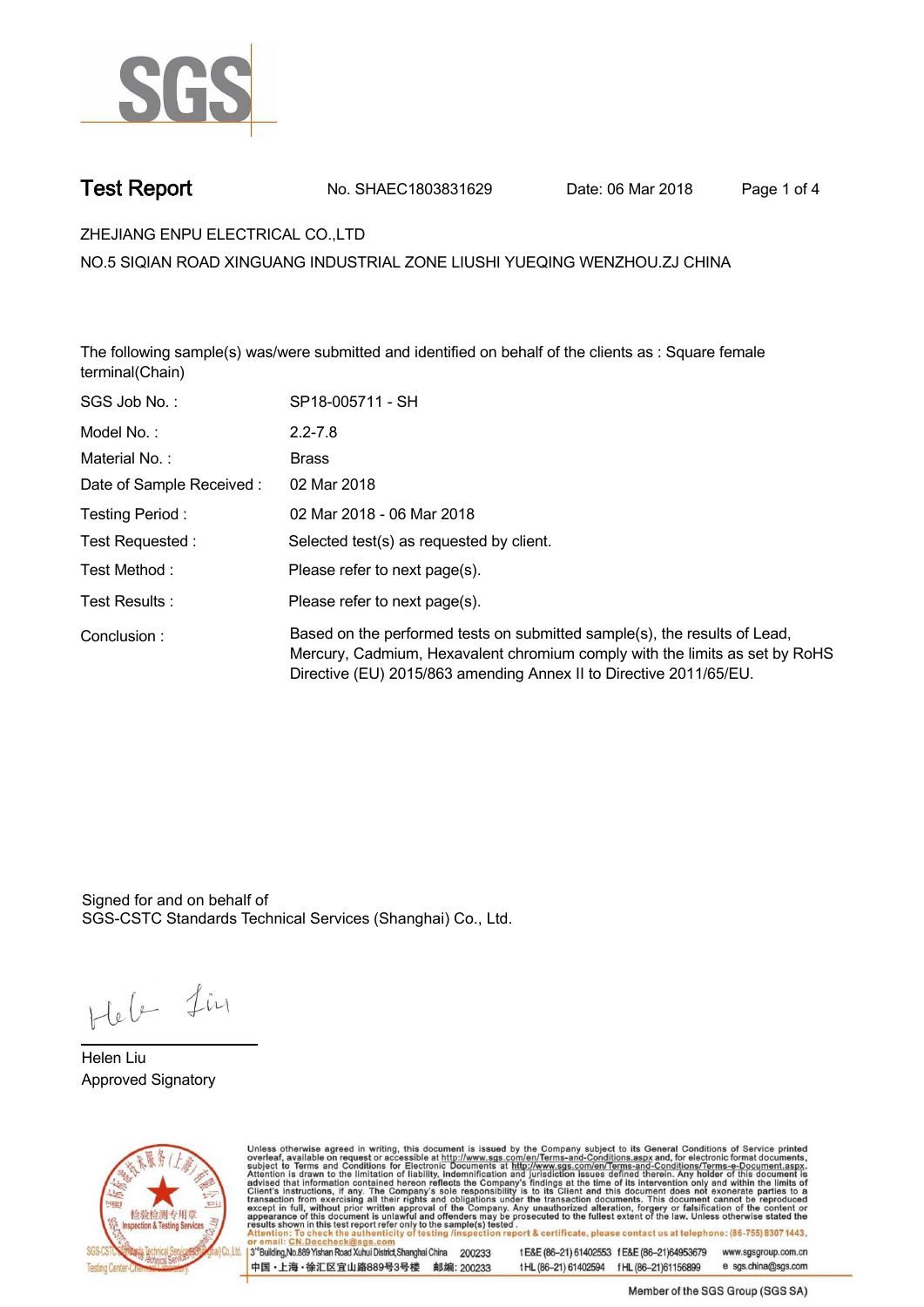

**Test Report. No. SHAEC1803831629 Date: 06 Mar 2018 . Page 1 of 4.**

**ZHEJIANG ENPU ELECTRICAL CO.,LTD .**

**NO.5 SIQIAN ROAD XINGUANG INDUSTRIAL ZONE LIUSHI YUEQING WENZHOU.ZJ CHINA**

**The following sample(s) was/were submitted and identified on behalf of the clients as : Square female terminal(Chain).**

| SGS Job No.:             | SP18-005711 - SH                                                                                                                                                                                                               |
|--------------------------|--------------------------------------------------------------------------------------------------------------------------------------------------------------------------------------------------------------------------------|
| Model No.:               | $2.2 - 7.8$                                                                                                                                                                                                                    |
| Material No.:            | <b>Brass</b>                                                                                                                                                                                                                   |
| Date of Sample Received: | 02 Mar 2018                                                                                                                                                                                                                    |
| Testing Period:          | 02 Mar 2018 - 06 Mar 2018                                                                                                                                                                                                      |
| Test Requested:          | Selected test(s) as requested by client.                                                                                                                                                                                       |
| Test Method :            | Please refer to next page(s).                                                                                                                                                                                                  |
| Test Results:            | Please refer to next page(s).                                                                                                                                                                                                  |
| Conclusion:              | Based on the performed tests on submitted sample(s), the results of Lead,<br>Mercury, Cadmium, Hexavalent chromium comply with the limits as set by RoHS<br>Directive (EU) 2015/863 amending Annex II to Directive 2011/65/EU. |
|                          |                                                                                                                                                                                                                                |

Signed for and on behalf of SGS-CSTC Standards Technical Services (Shanghai) Co., Ltd..

Heb Lin

**Helen Liu. Approved Signatory .**



Unless otherwise agreed in writing, this document is issued by the Company subject to its General Conditions of Service printed<br>overleaf, available on request or accessible at http://www.sgs.com/en/Terms-and-Conditions.asp

3<sup>rd</sup>Building, No.889 Yishan Road Xuhui District, Shanghai China 200233 中国·上海·徐汇区宜山路889号3号楼 邮编: 200233

t E&E (86-21) 61402553 f E&E (86-21)64953679 www.sgsgroup.com.cn t HL (86-21) 61402594 f HL (86-21) 61156899 e sgs.china@sgs.com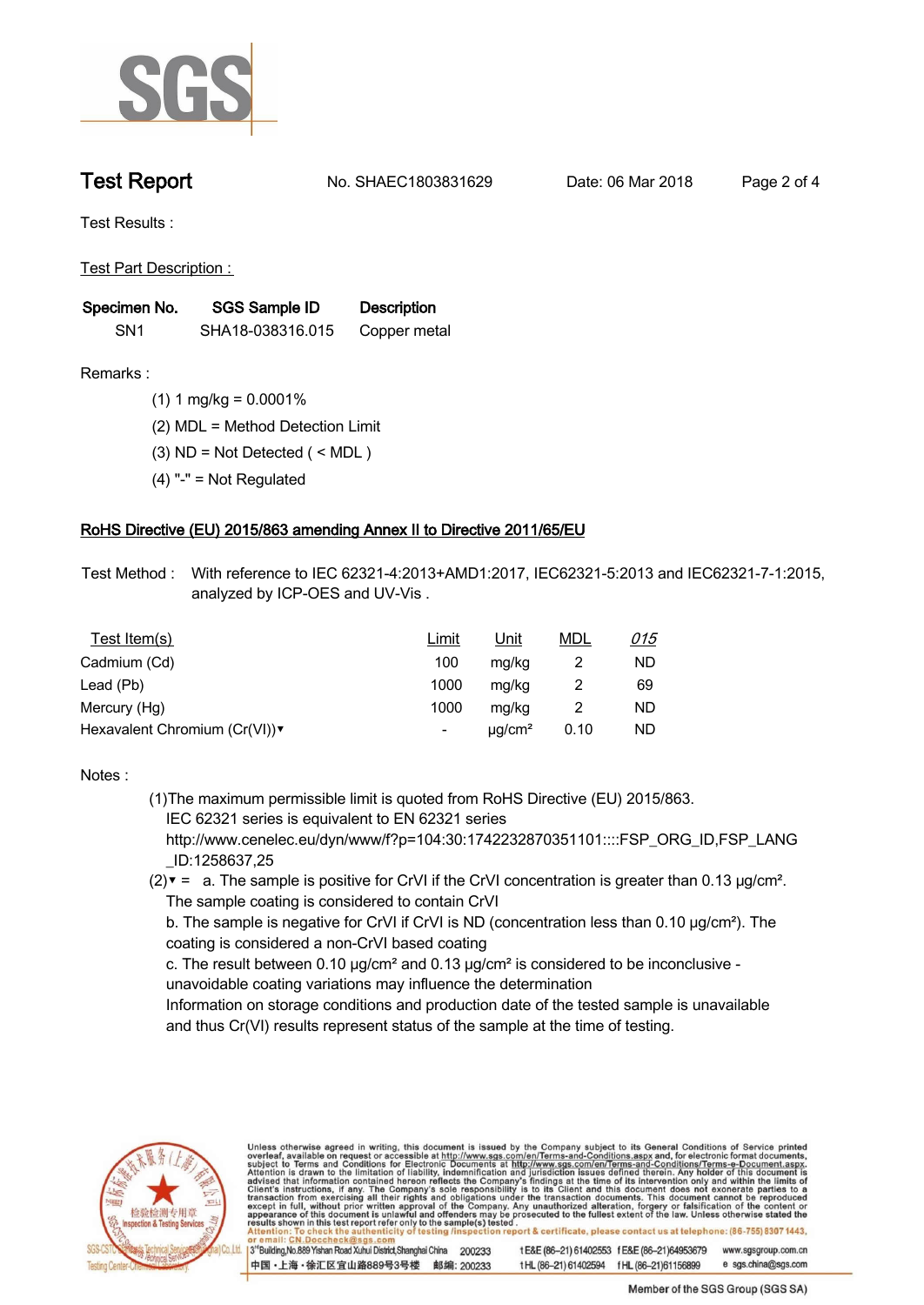

**Test Report. No. SHAEC1803831629 Date: 06 Mar 2018 . Page 2 of 4.**

**Test Results :.**

**Test Part Description : .**

| Specimen No.    | SGS Sample ID    | <b>Description</b> |  |
|-----------------|------------------|--------------------|--|
| SN <sub>1</sub> | SHA18-038316.015 | Copper metal       |  |

- **Remarks :.(1) 1 mg/kg = 0.0001% .**
	- **(2) MDL = Method Detection Limit .**
	- **(3) ND = Not Detected ( < MDL ) .**
	- **(4) "-" = Not Regulated .**

## **RoHS Directive (EU) 2015/863 amending Annex II to Directive 2011/65/EU.**

**Test Method :. With reference to IEC 62321-4:2013+AMD1:2017, IEC62321-5:2013 and IEC62321-7-1:2015, analyzed by ICP-OES and UV-Vis . .**

| Test Item(s)                 | Limit | <u>Unit</u>             | <u>MDL</u> | <u>015</u> |
|------------------------------|-------|-------------------------|------------|------------|
| Cadmium (Cd)                 | 100   | mg/kg                   |            | ND         |
| Lead (Pb)                    | 1000  | mg/kg                   |            | 69         |
| Mercury (Hg)                 | 1000  | mg/kg                   |            | ND         |
| Hexavalent Chromium (Cr(VI)) | -     | $\mu$ g/cm <sup>2</sup> | 0.10       | ND         |

### **Notes :.**

- **(1)The maximum permissible limit is quoted from RoHS Directive (EU) 2015/863. IEC 62321 series is equivalent to EN 62321 series**
	- **http://www.cenelec.eu/dyn/www/f?p=104:30:1742232870351101::::FSP\_ORG\_ID,FSP\_LANG \_ID:1258637,25**
- **(2)▼ = a. The sample is positive for CrVI if the CrVI concentration is greater than 0.13 μg/cm². The sample coating is considered to contain CrVI**

 **b. The sample is negative for CrVI if CrVI is ND (concentration less than 0.10 μg/cm²). The coating is considered a non-CrVI based coating**

 **c. The result between 0.10 μg/cm² and 0.13 μg/cm² is considered to be inconclusive - unavoidable coating variations may influence the determination** 

 **Information on storage conditions and production date of the tested sample is unavailable and thus Cr(VI) results represent status of the sample at the time of testing. .**



Unless otherwise agreed in writing, this document is issued by the Company subject to its General Conditions of Service printed overleaf, available on request or accessible at http://www.sgs.com/en/Terms-and-Conditions.asp ion report & certificate, please contact us at telephone: (86-755) 8307 1443, testing /ins 13<sup>rd</sup> Building, No.889 Yishan Road Xuhui District, Shanghai China 200233

中国·上海·徐汇区宜山路889号3号楼 邮编: 200233

t E&E (86-21) 61402553 f E&E (86-21)64953679 www.sgsgroup.com.cn e sgs.china@sgs.com tHL (86-21) 61402594 fHL (86-21) 61156899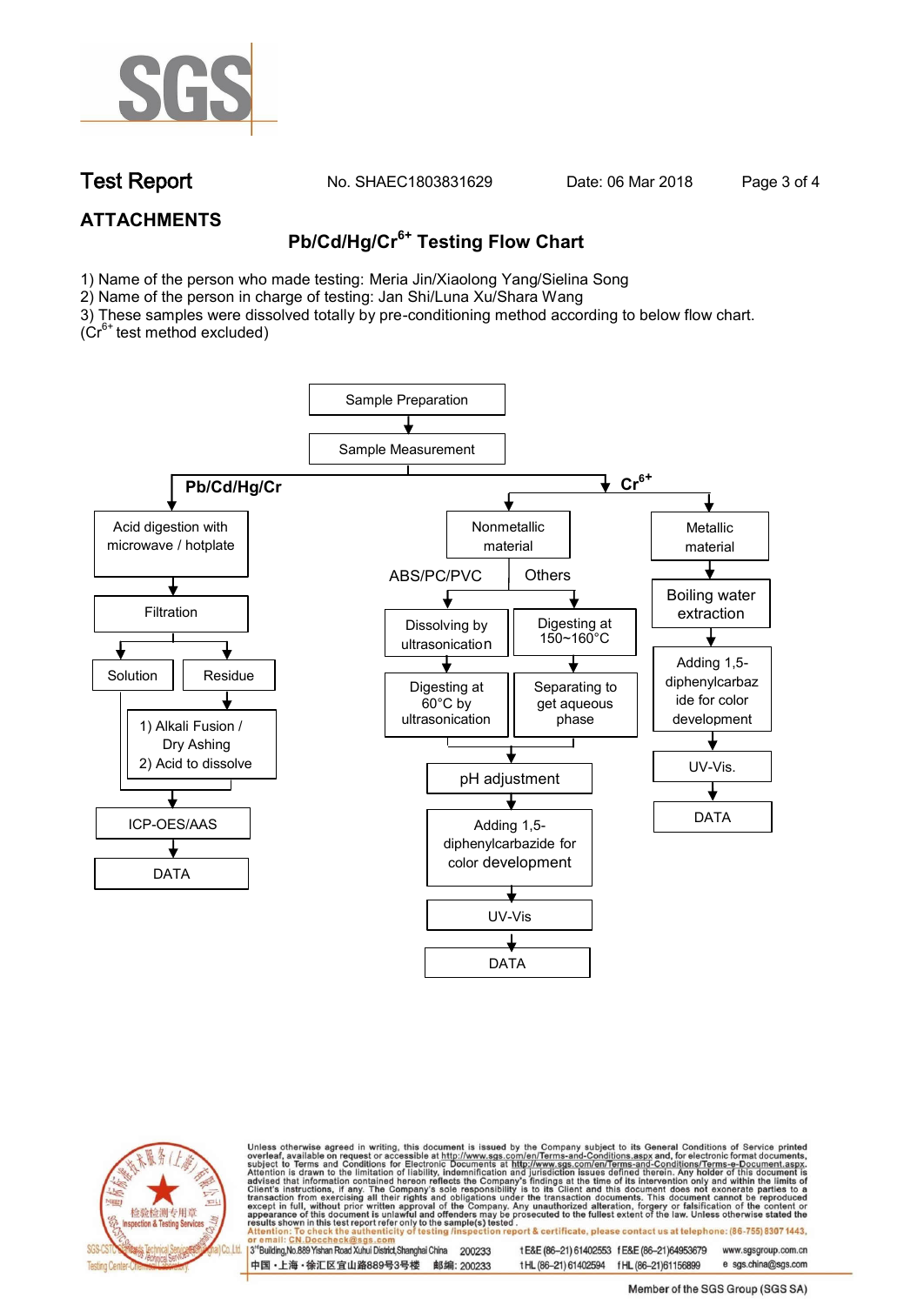

**Test Report. No. SHAEC1803831629 Date: 06 Mar 2018 . Page 3 of 4.**

# **ATTACHMENTS**

# **Pb/Cd/Hg/Cr6+ Testing Flow Chart**

1) Name of the person who made testing: Meria Jin/Xiaolong Yang/Sielina Song

2) Name of the person in charge of testing: Jan Shi/Luna Xu/Shara Wang

3) These samples were dissolved totally by pre-conditioning method according to below flow chart.

 $(Cr^{6+})$  test method excluded)





Unless otherwise agreed in writing, this document is issued by the Company subject to its General Conditions of Service printed overleaf, available on request or accessible at http://www.sgs.com/en/Terms-and-Conditions.asp ion report & certificate, please contact us at telephone: (86-755) 8307 1443, esting/ins

13<sup>rd</sup> Building, No.889 Yishan Road Xuhui District, Shanghai China 200233 中国·上海·徐汇区宜山路889号3号楼 邮编: 200233 t E&E (86-21) 61402553 f E&E (86-21)64953679 www.sgsgroup.com.cn

t HL (86-21) 61402594 f HL (86-21)61156899 e sgs.china@sgs.com